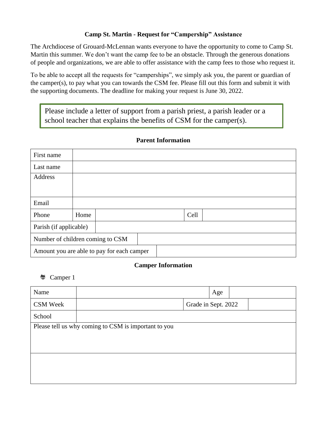### **Camp St. Martin - Request for "Campership" Assistance**

The Archdiocese of Grouard-McLennan wants everyone to have the opportunity to come to Camp St. Martin this summer. We don't want the camp fee to be an obstacle. Through the generous donations of people and organizations, we are able to offer assistance with the camp fees to those who request it.

To be able to accept all the requests for "camperships", we simply ask you, the parent or guardian of the camper(s), to pay what you can towards the CSM fee. Please fill out this form and submit it with the supporting documents. The deadline for making your request is June 30, 2022.

Please include a letter of support from a parish priest, a parish leader or a school teacher that explains the benefits of CSM for the camper(s).

| First name                                 |      |  |  |  |      |  |
|--------------------------------------------|------|--|--|--|------|--|
| Last name                                  |      |  |  |  |      |  |
| Address                                    |      |  |  |  |      |  |
|                                            |      |  |  |  |      |  |
| Email                                      |      |  |  |  |      |  |
| Phone                                      | Home |  |  |  | Cell |  |
| Parish (if applicable)                     |      |  |  |  |      |  |
| Number of children coming to CSM           |      |  |  |  |      |  |
| Amount you are able to pay for each camper |      |  |  |  |      |  |

### **Parent Information**

#### **Camper Information**

Camper 1

| Name                                                 |  |  |                     | Age |  |  |
|------------------------------------------------------|--|--|---------------------|-----|--|--|
| <b>CSM Week</b>                                      |  |  | Grade in Sept. 2022 |     |  |  |
| School                                               |  |  |                     |     |  |  |
| Please tell us why coming to CSM is important to you |  |  |                     |     |  |  |
|                                                      |  |  |                     |     |  |  |
|                                                      |  |  |                     |     |  |  |
|                                                      |  |  |                     |     |  |  |
|                                                      |  |  |                     |     |  |  |
|                                                      |  |  |                     |     |  |  |